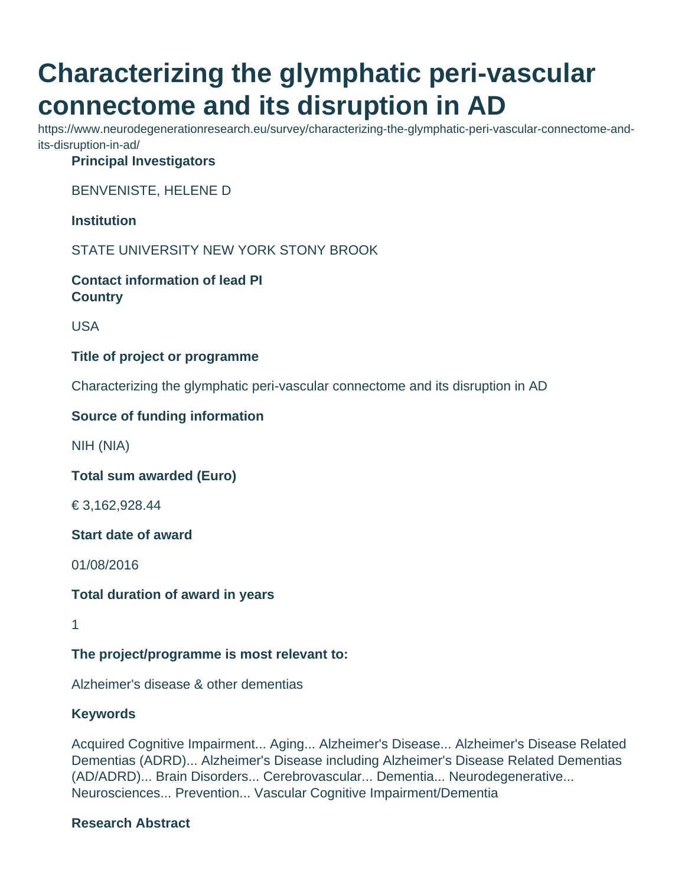# **Characterizing the glymphatic peri-vascular connectome and its disruption in AD**

https://www.neurodegenerationresearch.eu/survey/characterizing-the-glymphatic-peri-vascular-connectome-andits-disruption-in-ad/

#### **Principal Investigators**

BENVENISTE, HELENE D

**Institution**

STATE UNIVERSITY NEW YORK STONY BROOK

**Contact information of lead PI Country**

USA

#### **Title of project or programme**

Characterizing the glymphatic peri-vascular connectome and its disruption in AD

### **Source of funding information**

NIH (NIA)

**Total sum awarded (Euro)**

€ 3,162,928.44

**Start date of award**

01/08/2016

**Total duration of award in years**

1

### **The project/programme is most relevant to:**

Alzheimer's disease & other dementias

### **Keywords**

Acquired Cognitive Impairment... Aging... Alzheimer's Disease... Alzheimer's Disease Related Dementias (ADRD)... Alzheimer's Disease including Alzheimer's Disease Related Dementias (AD/ADRD)... Brain Disorders... Cerebrovascular... Dementia... Neurodegenerative... Neurosciences... Prevention... Vascular Cognitive Impairment/Dementia

### **Research Abstract**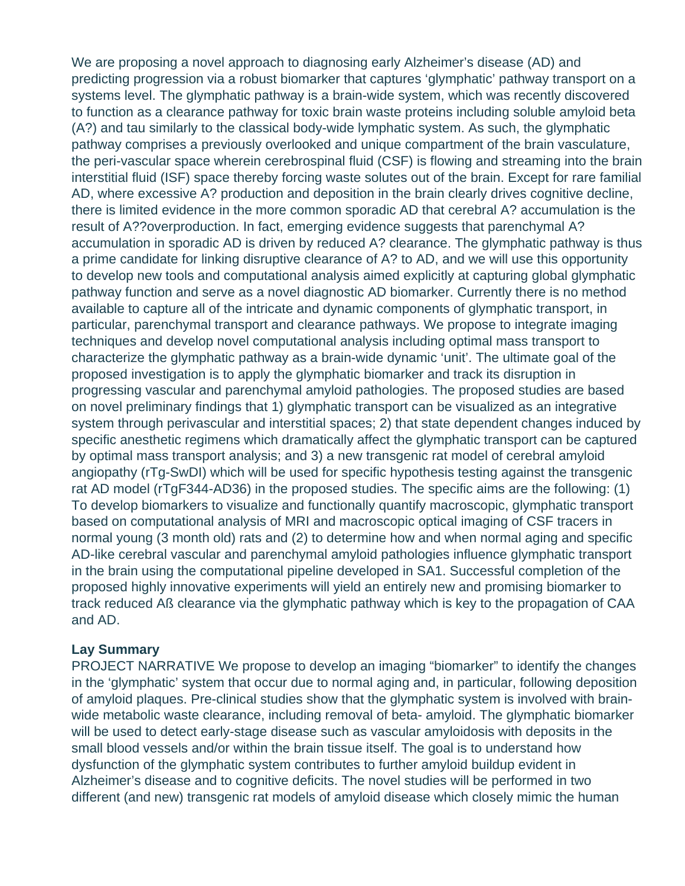We are proposing a novel approach to diagnosing early Alzheimer's disease (AD) and predicting progression via a robust biomarker that captures 'glymphatic' pathway transport on a systems level. The glymphatic pathway is a brain-wide system, which was recently discovered to function as a clearance pathway for toxic brain waste proteins including soluble amyloid beta (A?) and tau similarly to the classical body-wide lymphatic system. As such, the glymphatic pathway comprises a previously overlooked and unique compartment of the brain vasculature, the peri-vascular space wherein cerebrospinal fluid (CSF) is flowing and streaming into the brain interstitial fluid (ISF) space thereby forcing waste solutes out of the brain. Except for rare familial AD, where excessive A? production and deposition in the brain clearly drives cognitive decline, there is limited evidence in the more common sporadic AD that cerebral A? accumulation is the result of A??overproduction. In fact, emerging evidence suggests that parenchymal A? accumulation in sporadic AD is driven by reduced A? clearance. The glymphatic pathway is thus a prime candidate for linking disruptive clearance of A? to AD, and we will use this opportunity to develop new tools and computational analysis aimed explicitly at capturing global glymphatic pathway function and serve as a novel diagnostic AD biomarker. Currently there is no method available to capture all of the intricate and dynamic components of glymphatic transport, in particular, parenchymal transport and clearance pathways. We propose to integrate imaging techniques and develop novel computational analysis including optimal mass transport to characterize the glymphatic pathway as a brain-wide dynamic 'unit'. The ultimate goal of the proposed investigation is to apply the glymphatic biomarker and track its disruption in progressing vascular and parenchymal amyloid pathologies. The proposed studies are based on novel preliminary findings that 1) glymphatic transport can be visualized as an integrative system through perivascular and interstitial spaces; 2) that state dependent changes induced by specific anesthetic regimens which dramatically affect the glymphatic transport can be captured by optimal mass transport analysis; and 3) a new transgenic rat model of cerebral amyloid angiopathy (rTg-SwDI) which will be used for specific hypothesis testing against the transgenic rat AD model (rTgF344-AD36) in the proposed studies. The specific aims are the following: (1) To develop biomarkers to visualize and functionally quantify macroscopic, glymphatic transport based on computational analysis of MRI and macroscopic optical imaging of CSF tracers in normal young (3 month old) rats and (2) to determine how and when normal aging and specific AD-like cerebral vascular and parenchymal amyloid pathologies influence glymphatic transport in the brain using the computational pipeline developed in SA1. Successful completion of the proposed highly innovative experiments will yield an entirely new and promising biomarker to track reduced Aß clearance via the glymphatic pathway which is key to the propagation of CAA and AD.

#### **Lay Summary**

PROJECT NARRATIVE We propose to develop an imaging "biomarker" to identify the changes in the 'glymphatic' system that occur due to normal aging and, in particular, following deposition of amyloid plaques. Pre-clinical studies show that the glymphatic system is involved with brainwide metabolic waste clearance, including removal of beta- amyloid. The glymphatic biomarker will be used to detect early-stage disease such as vascular amyloidosis with deposits in the small blood vessels and/or within the brain tissue itself. The goal is to understand how dysfunction of the glymphatic system contributes to further amyloid buildup evident in Alzheimer's disease and to cognitive deficits. The novel studies will be performed in two different (and new) transgenic rat models of amyloid disease which closely mimic the human